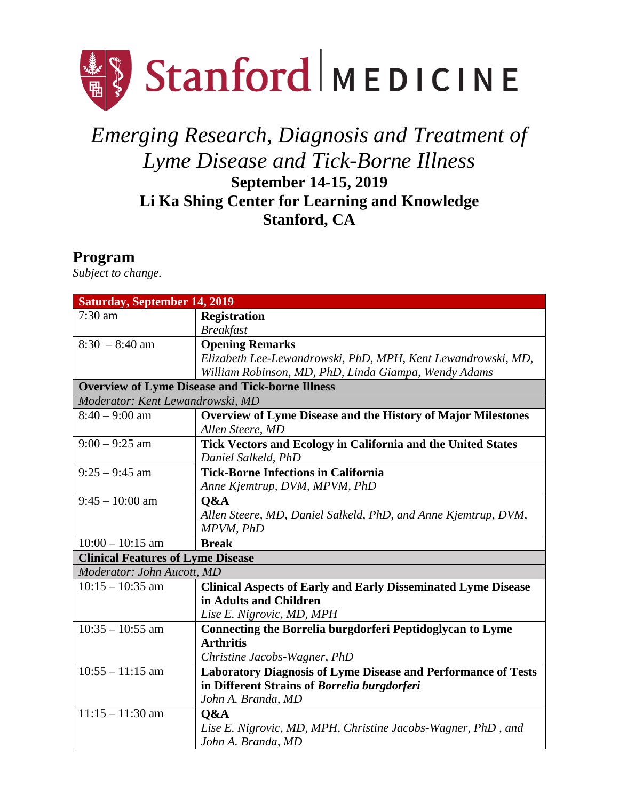

## *Emerging Research, Diagnosis and Treatment of Lyme Disease and Tick-Borne Illness* **September 14-15, 2019 Li Ka Shing Center for Learning and Knowledge Stanford, CA**

## **Program**

*Subject to change.*

| <b>Saturday, September 14, 2019</b>                    |                                                                      |  |
|--------------------------------------------------------|----------------------------------------------------------------------|--|
| 7:30 am                                                | <b>Registration</b>                                                  |  |
|                                                        | <b>Breakfast</b>                                                     |  |
| $8:30 - 8:40$ am                                       | <b>Opening Remarks</b>                                               |  |
|                                                        | Elizabeth Lee-Lewandrowski, PhD, MPH, Kent Lewandrowski, MD,         |  |
|                                                        | William Robinson, MD, PhD, Linda Giampa, Wendy Adams                 |  |
| <b>Overview of Lyme Disease and Tick-borne Illness</b> |                                                                      |  |
| Moderator: Kent Lewandrowski, MD                       |                                                                      |  |
| $8:40 - 9:00$ am                                       | Overview of Lyme Disease and the History of Major Milestones         |  |
|                                                        | Allen Steere, MD                                                     |  |
| $9:00 - 9:25$ am                                       | Tick Vectors and Ecology in California and the United States         |  |
|                                                        | Daniel Salkeld, PhD                                                  |  |
| $9:25 - 9:45$ am                                       | <b>Tick-Borne Infections in California</b>                           |  |
|                                                        | Anne Kjemtrup, DVM, MPVM, PhD                                        |  |
| $9:45 - 10:00$ am                                      | Q&A                                                                  |  |
|                                                        | Allen Steere, MD, Daniel Salkeld, PhD, and Anne Kjemtrup, DVM,       |  |
|                                                        | MPVM, PhD                                                            |  |
| $10:00 - 10:15$ am                                     | <b>Break</b>                                                         |  |
| <b>Clinical Features of Lyme Disease</b>               |                                                                      |  |
| Moderator: John Aucott, MD                             |                                                                      |  |
| $10:15 - 10:35$ am                                     | <b>Clinical Aspects of Early and Early Disseminated Lyme Disease</b> |  |
|                                                        | in Adults and Children                                               |  |
|                                                        | Lise E. Nigrovic, MD, MPH                                            |  |
| $10:35 - 10:55$ am                                     | <b>Connecting the Borrelia burgdorferi Peptidoglycan to Lyme</b>     |  |
|                                                        | <b>Arthritis</b>                                                     |  |
|                                                        | Christine Jacobs-Wagner, PhD                                         |  |
| $10:55 - 11:15$ am                                     | <b>Laboratory Diagnosis of Lyme Disease and Performance of Tests</b> |  |
|                                                        | in Different Strains of Borrelia burgdorferi                         |  |
|                                                        | John A. Branda, MD                                                   |  |
| $11:15 - 11:30$ am                                     | Q&A                                                                  |  |
|                                                        | Lise E. Nigrovic, MD, MPH, Christine Jacobs-Wagner, PhD, and         |  |
|                                                        | John A. Branda, MD                                                   |  |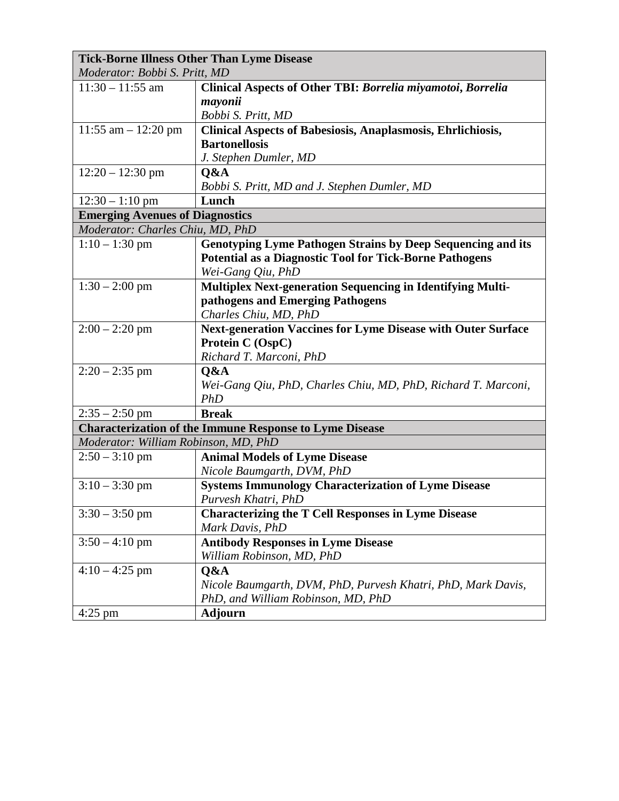| <b>Tick-Borne Illness Other Than Lyme Disease</b>              |                                                                     |  |
|----------------------------------------------------------------|---------------------------------------------------------------------|--|
| Moderator: Bobbi S. Pritt, MD                                  |                                                                     |  |
| $11:30 - 11:55$ am                                             | Clinical Aspects of Other TBI: Borrelia miyamotoi, Borrelia         |  |
|                                                                | mayonii                                                             |  |
|                                                                | Bobbi S. Pritt, MD                                                  |  |
| $11:55$ am $-12:20$ pm                                         | <b>Clinical Aspects of Babesiosis, Anaplasmosis, Ehrlichiosis,</b>  |  |
|                                                                | <b>Bartonellosis</b>                                                |  |
|                                                                | J. Stephen Dumler, MD                                               |  |
| $12:20 - 12:30$ pm                                             | Q&A                                                                 |  |
|                                                                | Bobbi S. Pritt, MD and J. Stephen Dumler, MD                        |  |
| $12:30 - 1:10$ pm                                              | Lunch                                                               |  |
| <b>Emerging Avenues of Diagnostics</b>                         |                                                                     |  |
| Moderator: Charles Chiu, MD, PhD                               |                                                                     |  |
| $1:10 - 1:30$ pm                                               | <b>Genotyping Lyme Pathogen Strains by Deep Sequencing and its</b>  |  |
|                                                                | <b>Potential as a Diagnostic Tool for Tick-Borne Pathogens</b>      |  |
|                                                                | Wei-Gang Qiu, PhD                                                   |  |
| $1:30 - 2:00$ pm                                               | <b>Multiplex Next-generation Sequencing in Identifying Multi-</b>   |  |
|                                                                | pathogens and Emerging Pathogens                                    |  |
|                                                                | Charles Chiu, MD, PhD                                               |  |
| $2:00 - 2:20$ pm                                               | <b>Next-generation Vaccines for Lyme Disease with Outer Surface</b> |  |
|                                                                | Protein C (OspC)                                                    |  |
|                                                                | Richard T. Marconi, PhD                                             |  |
| $2:20 - 2:35$ pm                                               | Q&A                                                                 |  |
|                                                                | Wei-Gang Qiu, PhD, Charles Chiu, MD, PhD, Richard T. Marconi,       |  |
|                                                                | <b>PhD</b>                                                          |  |
| $2:35 - 2:50$ pm                                               | <b>Break</b>                                                        |  |
| <b>Characterization of the Immune Response to Lyme Disease</b> |                                                                     |  |
| Moderator: William Robinson, MD, PhD                           |                                                                     |  |
| $2:50 - 3:10$ pm                                               | <b>Animal Models of Lyme Disease</b>                                |  |
|                                                                | Nicole Baumgarth, DVM, PhD                                          |  |
| $3:10 - 3:30$ pm                                               | <b>Systems Immunology Characterization of Lyme Disease</b>          |  |
|                                                                | Purvesh Khatri, PhD                                                 |  |
| $3:30 - 3:50$ pm                                               | <b>Characterizing the T Cell Responses in Lyme Disease</b>          |  |
|                                                                | Mark Davis, PhD                                                     |  |
| $3:50 - 4:10$ pm                                               | <b>Antibody Responses in Lyme Disease</b>                           |  |
|                                                                | William Robinson, MD, PhD                                           |  |
| $4:10 - 4:25$ pm                                               | Q&A                                                                 |  |
|                                                                | Nicole Baumgarth, DVM, PhD, Purvesh Khatri, PhD, Mark Davis,        |  |
|                                                                | PhD, and William Robinson, MD, PhD                                  |  |
| $4:25$ pm                                                      | <b>Adjourn</b>                                                      |  |